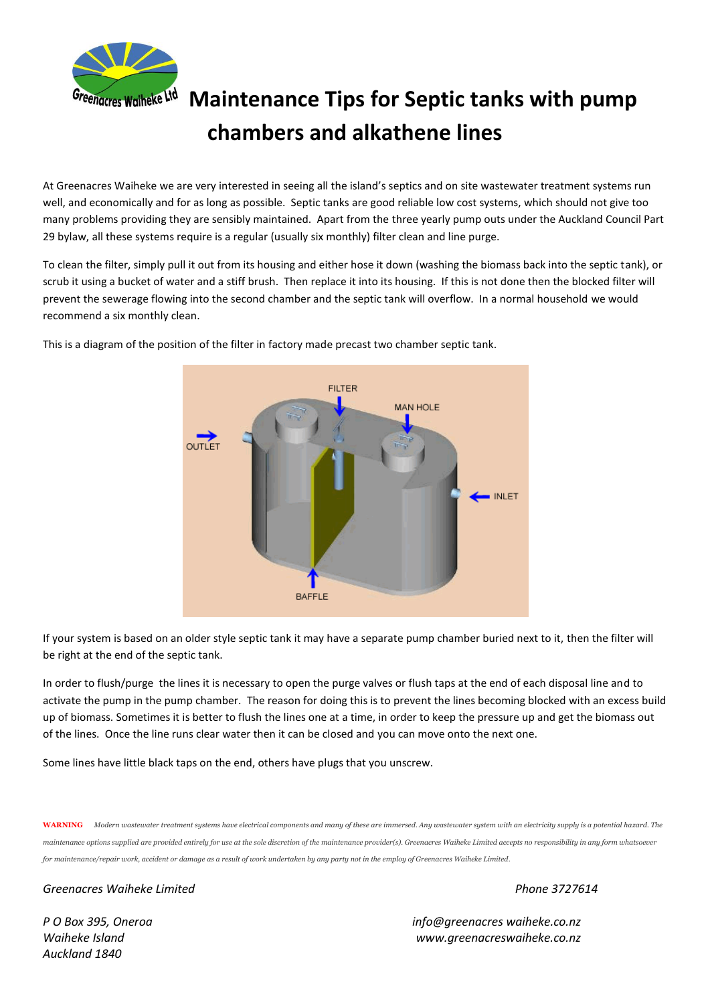

## **Greenacres Waiheke Ltd** Maintenance Tips for Septic tanks with pump **chambers and alkathene lines**

At Greenacres Waiheke we are very interested in seeing all the island's septics and on site wastewater treatment systems run well, and economically and for as long as possible. Septic tanks are good reliable low cost systems, which should not give too many problems providing they are sensibly maintained. Apart from the three yearly pump outs under the Auckland Council Part 29 bylaw, all these systems require is a regular (usually six monthly) filter clean and line purge.

To clean the filter, simply pull it out from its housing and either hose it down (washing the biomass back into the septic tank), or scrub it using a bucket of water and a stiff brush. Then replace it into its housing. If this is not done then the blocked filter will prevent the sewerage flowing into the second chamber and the septic tank will overflow. In a normal household we would recommend a six monthly clean.



This is a diagram of the position of the filter in factory made precast two chamber septic tank.

If your system is based on an older style septic tank it may have a separate pump chamber buried next to it, then the filter will be right at the end of the septic tank.

In order to flush/purge the lines it is necessary to open the purge valves or flush taps at the end of each disposal line and to activate the pump in the pump chamber. The reason for doing this is to prevent the lines becoming blocked with an excess build up of biomass. Sometimes it is better to flush the lines one at a time, in order to keep the pressure up and get the biomass out of the lines. Once the line runs clear water then it can be closed and you can move onto the next one.

Some lines have little black taps on the end, others have plugs that you unscrew.

**WARNING** *Modern wastewater treatment systems have electrical components and many of these are immersed. Any wastewater system with an electricity supply is a potential hazard. The maintenance options supplied are provided entirely for use at the sole discretion of the maintenance provider(s). Greenacres Waiheke Limited accepts no responsibility in any form whatsoever for maintenance/repair work, accident or damage as a result of work undertaken by any party not in the employ of Greenacres Waiheke Limited*.

## *Greenacres Waiheke Limited Phone 3727614*

*Auckland 1840*

*P O Box 395, Oneroa info@greenacres waiheke.co.nz Waiheke Island www.greenacreswaiheke.co.nz*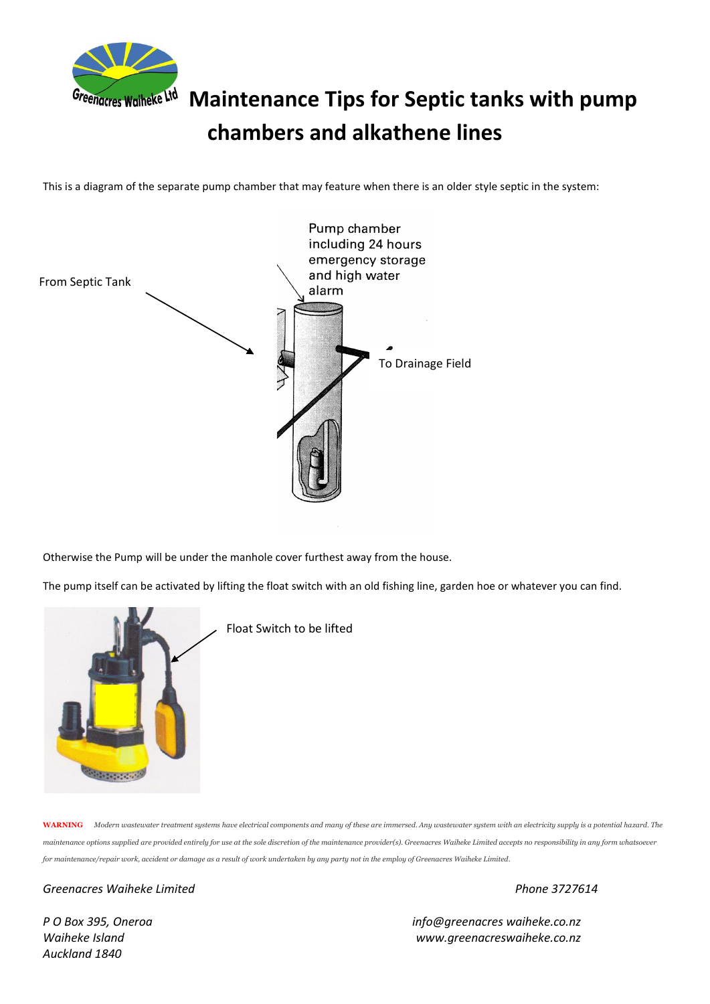

## Greenacres Waiheke Lid Maintenance Tips for Septic tanks with pump **chambers and alkathene lines**

This is a diagram of the separate pump chamber that may feature when there is an older style septic in the system:



Otherwise the Pump will be under the manhole cover furthest away from the house.

The pump itself can be activated by lifting the float switch with an old fishing line, garden hoe or whatever you can find.



Float Switch to be lifted

**WARNING** *Modern wastewater treatment systems have electrical components and many of these are immersed. Any wastewater system with an electricity supply is a potential hazard. The maintenance options supplied are provided entirely for use at the sole discretion of the maintenance provider(s). Greenacres Waiheke Limited accepts no responsibility in any form whatsoever for maintenance/repair work, accident or damage as a result of work undertaken by any party not in the employ of Greenacres Waiheke Limited*.

*Greenacres Waiheke Limited Phone 3727614*

*Auckland 1840*

*P O Box 395, Oneroa info@greenacres waiheke.co.nz Waiheke Island www.greenacreswaiheke.co.nz*